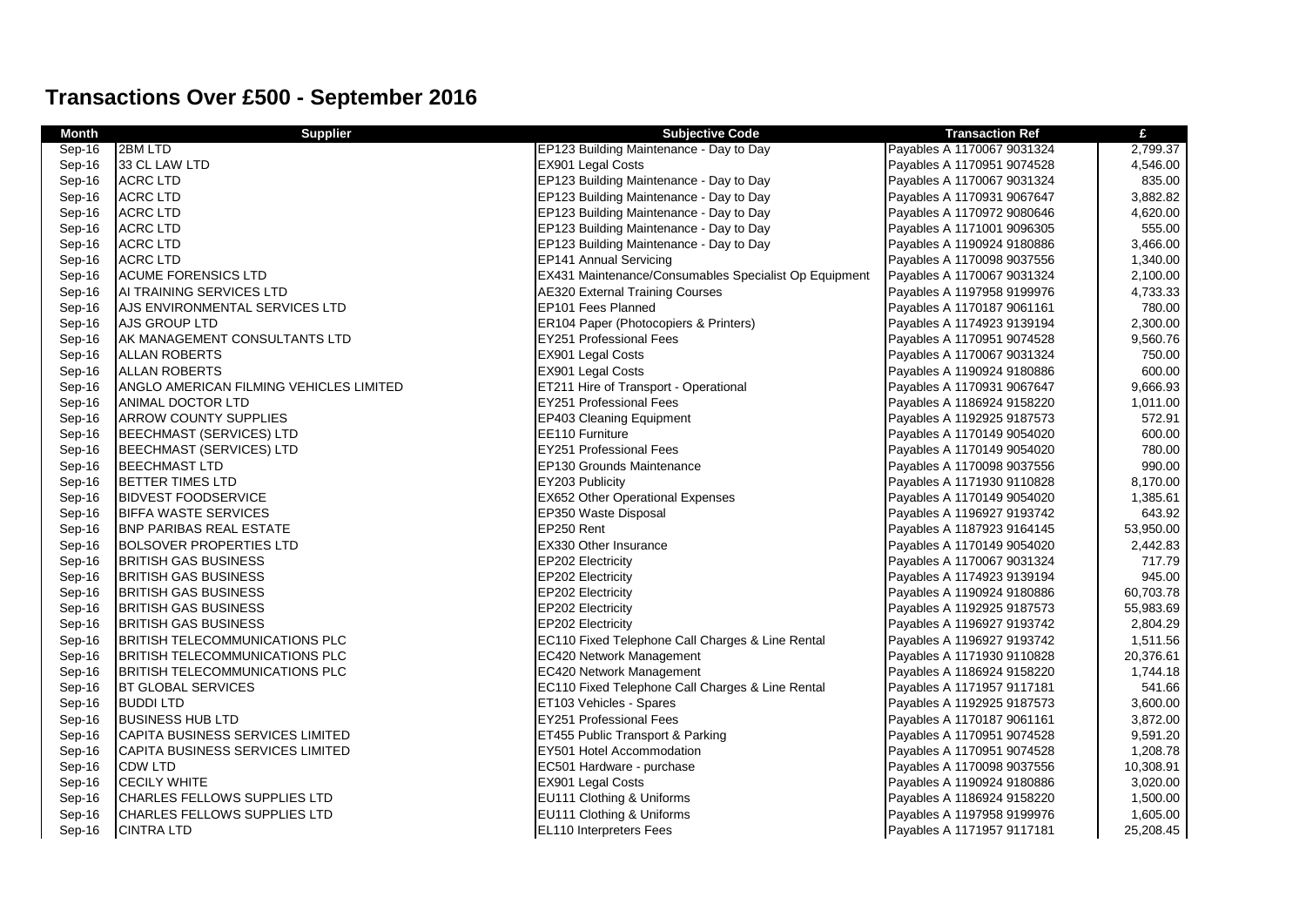## **Transactions Over £500 - September 2016**

| Month  | <b>Supplier</b>                         | <b>Subjective Code</b>                                | <b>Transaction Ref</b>     | £         |
|--------|-----------------------------------------|-------------------------------------------------------|----------------------------|-----------|
| Sep-16 | 2BM LTD                                 | EP123 Building Maintenance - Day to Day               | Payables A 1170067 9031324 | 2,799.37  |
| Sep-16 | 33 CL LAW LTD                           | EX901 Legal Costs                                     | Payables A 1170951 9074528 | 4,546.00  |
| Sep-16 | <b>ACRC LTD</b>                         | EP123 Building Maintenance - Day to Day               | Payables A 1170067 9031324 | 835.00    |
| Sep-16 | <b>ACRC LTD</b>                         | EP123 Building Maintenance - Day to Day               | Payables A 1170931 9067647 | 3,882.82  |
| Sep-16 | <b>ACRC LTD</b>                         | EP123 Building Maintenance - Day to Day               | Payables A 1170972 9080646 | 4,620.00  |
| Sep-16 | <b>ACRC LTD</b>                         | EP123 Building Maintenance - Day to Day               | Payables A 1171001 9096305 | 555.00    |
| Sep-16 | <b>ACRC LTD</b>                         | EP123 Building Maintenance - Day to Day               | Payables A 1190924 9180886 | 3,466.00  |
| Sep-16 | <b>ACRC LTD</b>                         | <b>EP141 Annual Servicing</b>                         | Payables A 1170098 9037556 | 1,340.00  |
| Sep-16 | <b>ACUME FORENSICS LTD</b>              | EX431 Maintenance/Consumables Specialist Op Equipment | Payables A 1170067 9031324 | 2,100.00  |
| Sep-16 | AI TRAINING SERVICES LTD                | <b>AE320 External Training Courses</b>                | Payables A 1197958 9199976 | 4,733.33  |
| Sep-16 | AJS ENVIRONMENTAL SERVICES LTD          | EP101 Fees Planned                                    | Payables A 1170187 9061161 | 780.00    |
| Sep-16 | <b>AJS GROUP LTD</b>                    | ER104 Paper (Photocopiers & Printers)                 | Payables A 1174923 9139194 | 2,300.00  |
| Sep-16 | AK MANAGEMENT CONSULTANTS LTD           | <b>EY251 Professional Fees</b>                        | Payables A 1170951 9074528 | 9,560.76  |
| Sep-16 | <b>ALLAN ROBERTS</b>                    | EX901 Legal Costs                                     | Payables A 1170067 9031324 | 750.00    |
| Sep-16 | <b>ALLAN ROBERTS</b>                    | EX901 Legal Costs                                     | Payables A 1190924 9180886 | 600.00    |
| Sep-16 | ANGLO AMERICAN FILMING VEHICLES LIMITED | ET211 Hire of Transport - Operational                 | Payables A 1170931 9067647 | 9,666.93  |
| Sep-16 | ANIMAL DOCTOR LTD                       | EY251 Professional Fees                               | Payables A 1186924 9158220 | 1,011.00  |
| Sep-16 | <b>ARROW COUNTY SUPPLIES</b>            | <b>EP403 Cleaning Equipment</b>                       | Payables A 1192925 9187573 | 572.91    |
| Sep-16 | <b>BEECHMAST (SERVICES) LTD</b>         | EE110 Furniture                                       | Payables A 1170149 9054020 | 600.00    |
| Sep-16 | <b>BEECHMAST (SERVICES) LTD</b>         | <b>EY251 Professional Fees</b>                        | Payables A 1170149 9054020 | 780.00    |
| Sep-16 | <b>BEECHMAST LTD</b>                    | EP130 Grounds Maintenance                             | Payables A 1170098 9037556 | 990.00    |
| Sep-16 | <b>BETTER TIMES LTD</b>                 | EY203 Publicity                                       | Payables A 1171930 9110828 | 8,170.00  |
| Sep-16 | <b>BIDVEST FOODSERVICE</b>              | EX652 Other Operational Expenses                      | Payables A 1170149 9054020 | 1,385.61  |
| Sep-16 | <b>BIFFA WASTE SERVICES</b>             | EP350 Waste Disposal                                  | Payables A 1196927 9193742 | 643.92    |
| Sep-16 | <b>BNP PARIBAS REAL ESTATE</b>          | EP250 Rent                                            | Payables A 1187923 9164145 | 53,950.00 |
| Sep-16 | <b>BOLSOVER PROPERTIES LTD</b>          | EX330 Other Insurance                                 | Payables A 1170149 9054020 | 2,442.83  |
| Sep-16 | <b>BRITISH GAS BUSINESS</b>             | EP202 Electricity                                     | Payables A 1170067 9031324 | 717.79    |
| Sep-16 | <b>BRITISH GAS BUSINESS</b>             | EP202 Electricity                                     | Payables A 1174923 9139194 | 945.00    |
| Sep-16 | <b>BRITISH GAS BUSINESS</b>             | <b>EP202 Electricity</b>                              | Payables A 1190924 9180886 | 60,703.78 |
| Sep-16 | <b>BRITISH GAS BUSINESS</b>             | EP202 Electricity                                     | Payables A 1192925 9187573 | 55,983.69 |
| Sep-16 | <b>BRITISH GAS BUSINESS</b>             | EP202 Electricity                                     | Payables A 1196927 9193742 | 2,804.29  |
| Sep-16 | <b>BRITISH TELECOMMUNICATIONS PLC</b>   | EC110 Fixed Telephone Call Charges & Line Rental      | Payables A 1196927 9193742 | 1,511.56  |
| Sep-16 | BRITISH TELECOMMUNICATIONS PLC          | <b>EC420 Network Management</b>                       | Payables A 1171930 9110828 | 20,376.61 |
| Sep-16 | <b>BRITISH TELECOMMUNICATIONS PLC</b>   | EC420 Network Management                              | Payables A 1186924 9158220 | 1,744.18  |
| Sep-16 | <b>BT GLOBAL SERVICES</b>               | EC110 Fixed Telephone Call Charges & Line Rental      | Payables A 1171957 9117181 | 541.66    |
| Sep-16 | <b>BUDDILTD</b>                         | ET103 Vehicles - Spares                               | Payables A 1192925 9187573 | 3,600.00  |
| Sep-16 | <b>BUSINESS HUB LTD</b>                 | EY251 Professional Fees                               | Payables A 1170187 9061161 | 3,872.00  |
| Sep-16 | CAPITA BUSINESS SERVICES LIMITED        | ET455 Public Transport & Parking                      | Payables A 1170951 9074528 | 9,591.20  |
| Sep-16 | CAPITA BUSINESS SERVICES LIMITED        | EY501 Hotel Accommodation                             | Payables A 1170951 9074528 | 1,208.78  |
| Sep-16 | <b>CDW LTD</b>                          | EC501 Hardware - purchase                             | Payables A 1170098 9037556 | 10,308.91 |
| Sep-16 | <b>CECILY WHITE</b>                     | <b>EX901 Legal Costs</b>                              | Payables A 1190924 9180886 | 3,020.00  |
| Sep-16 | CHARLES FELLOWS SUPPLIES LTD            | EU111 Clothing & Uniforms                             | Payables A 1186924 9158220 | 1,500.00  |
| Sep-16 | <b>CHARLES FELLOWS SUPPLIES LTD</b>     | EU111 Clothing & Uniforms                             | Payables A 1197958 9199976 | 1,605.00  |
| Sep-16 | <b>CINTRA LTD</b>                       | <b>EL110 Interpreters Fees</b>                        | Payables A 1171957 9117181 | 25,208.45 |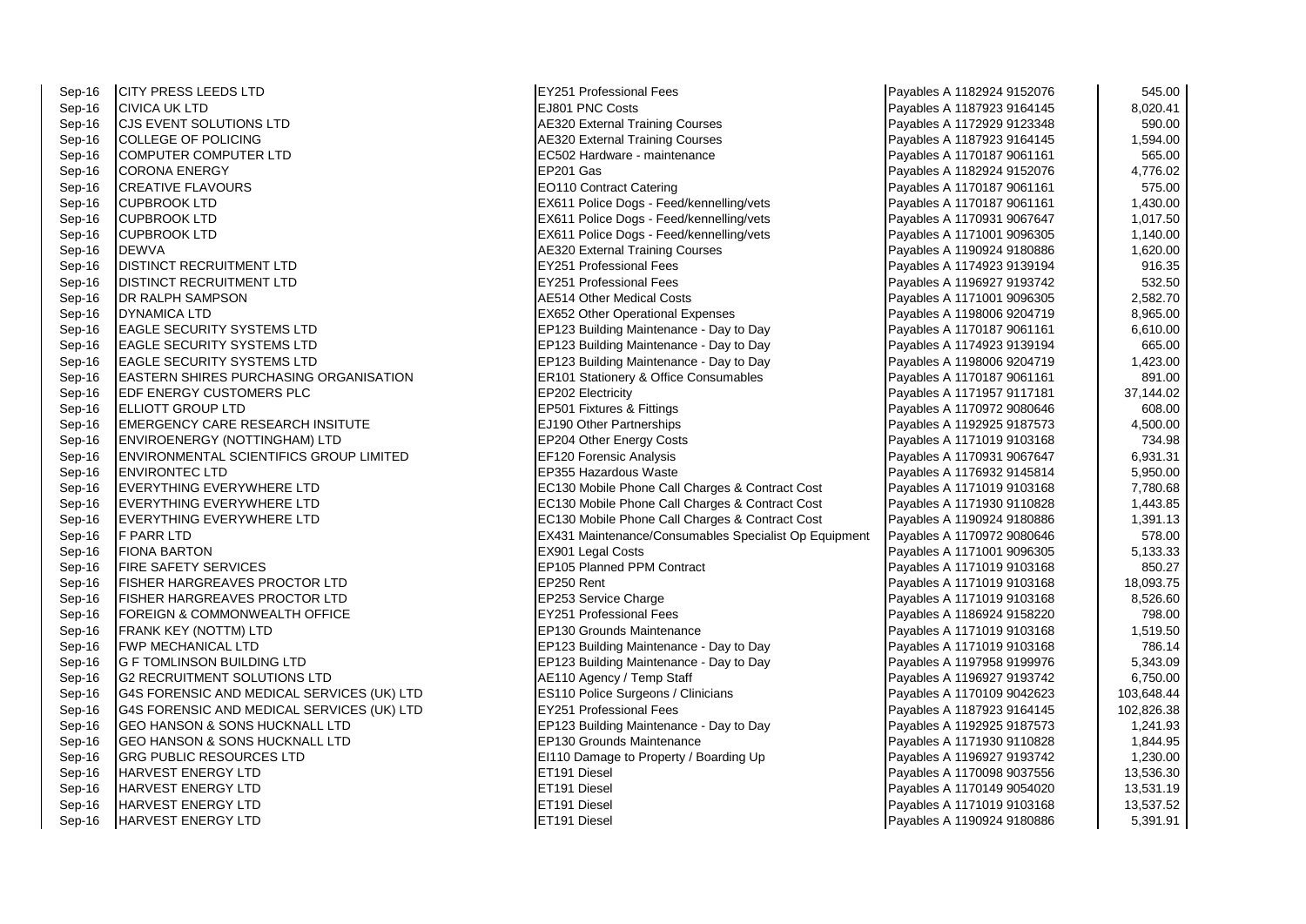Sep-16 F PARR LTD EX431 Maintenance/Consumables Specialist Op Equipment

Sep-16 CITY PRESS LEEDS LTD CONTROL CONTROLLER SEP-16 CITY PRISS LEEDS LTD 545.00<br>Sep-16 CIVICA UK LTD 6.020.41 Sep-16 CIVICA UK LTD 8,020.41<br>Sep-16 CJS EVENT SOLUTIONS LTD SOLOO SEPAND A RESING A LAGA AREA A LAGA A LAGA A LAGA A LAGA A LAGA A LAGA A L<br>Sep-16 CJS EVENT SOLUTIONS LTD 590.00 September 20 California Courses Latin Solution Spanish September 2012/00 Payables A 1172929 9123348 Sep-16 COLLEGE OF POLICING COLLEGE OF POLICING ALL SOLD COLLEGE OF POLICING ALL SOLD COLLEGE OF POLICING ALL SOL Sep-16 COMPUTER COMPUTER LTD COMPUTER LTD EC502 Hardware - maintenance Payables A 1170187 9061161 565.00<br>Sep-16 CORONA ENERGY 4.776.02 Sep-16 CORONA ENERGY EP201 Gas Payables A 1182924 9152076 4,776.02 Sep-16 CREATIVE FLAVOURS CONTRACT CONTRACT CONTRACT CONTRACT CONTRACT CONTRACT CONTRACT CONTRACT CONTRACT CONTR<br>Sep-16 CUPBROOK LTD 1.430.00 Sep-16 CUPBROOK LTD CUPBROOK LTD CUPBROOK LTD 1,430.00<br>Sep-16 CUPBROOK LTD CUPBROOK LTD 1,017.50 EX611 Police Dogs - Feed/kennelling/vets **Payables A 1170931 9067647** Sep-16 CUPBROOK LTD **EX611 Police Dogs - Feed/kennelling/vets** Payables A 1171001 9096305 1,140.00 Sep-16 DEWVA **AE320 External Training Courses** Payables A 1190924 9180886 1,620.00 Sep-16 DISTINCT RECRUITMENT LTD CONSULTED EXECUTIVE PROPERTY AND REVENUES OF THE EXECUTIVE PAYABLES A 1174923 9139194<br>Sep-16 DISTINCT RECRUITMENT I TD CONSULTED EXAMPLE EXAMPLE EXAMPLE EXAMPLE EXAMPLES A 1196927 9193742 Sep-16 DISTINCT RECRUITMENT LTD CONSULTED EXECUTIVE PROFESSION CONSULTED STORES A 1196927 9193742 532.50<br>Sep-16 DR RALPH SAMPSON 2.582.70 Sep-16 DYNAMICA LTD 8,965.00<br>Sep-16 FAGLE SECURITY SYSTEMS LTD SALL SERVIT AND RESULT BE THE RESULT ON THE PAYABLES A 1198006 9204719 8,965<br>FRIPA 23 Building Maintenance - Day to Day Payables A 1170187 9061161 6610.00 EP123 Building Maintenance - Day to Day Payables A 1170187 9061161 Sep-16 EAGLE SECURITY SYSTEMS LTD EP123 Building Maintenance - Day to Day Payables A 1174923 9139194 665.00 Sep-16 EAGLE SECURITY SYSTEMS LTD **ERECURITY SYSTEMS** LTD ERECURITY STEMS A 1,423.00 EASTERN SHIRES PURCHASING ORGANISATION ER101 Stationery & Office Consumables Payables A 1170187 9061161 Sep-16 EDF ENERGY CUSTOMERS PLC **EP202 Electricity** Payables A 1171957 9117181 37,144.02 Sep-16 FLIOTT GROUP LTD CONSULTED THE SEPALE RESOLUTION OF THE SEPALE RESOLUTION OF THE SEPALE RESOLUTION OF THE SOLUTION OF THE SOLUTION OF THE SOLUTION OF THE SOLUTION OF THE SOLUTION OF THE SOLUTION OF THE SOLUTION OF T Sep-16 EMERGENCY CARE RESEARCH INSITUTE EJ190 Other Partnerships Payables A 1192925 9187573 4,500.00<br>Sep-16 ENVIROENERGY (NOTTINGHAM) I TD Sep-16 ENVIROENERGY (NOTTINGHAM) LTD EP204 Other Energy Costs Payables A 1171019 9103168 734.98<br>Sep-16 ENVIRONMENTAL SCIENTIFICS GROUP LIMITED EF120 Forensic Analysis Payables A 1170931 9067647 6.931.31 Sep-16 ENVIRONMENTAL SCIENTIFICS GROUP LIMITED EF120 Forensic Analysis Forensic Analysis Payables A 1170931 9067647 Sep-16 ENVIRONTEC LTD SALLO EP355 Hazardous Waste Payables A 1176932 9145814 5,950.00 Sep-16 EVERYTHING EVERYWHERE LTD EC130 Mobile Phone Call Charges & Contract Cost Payables A 1171019 9103168 7,780.68 Sep-16 EVERYTHING EVERYWHERE LTD EC130 Mobile Phone Call Charges & Contract Cost Payables A 1171930 9110828 1,443.85 Sep-16 EVERYTHING EVERYWHERE LTD **EC130 Mobile Phone Call Charges & Contract Cost** Payables A 1190924 9180886 1,391.13<br>EX431 Maintenance/Consumables Specialist Op Equipment Payables A 1170972 9080646 578.00 Sep-16 FIONA BARTON 5,133.33 EX901 Legal Costs Payables A 1171001 9096305 5,133.33 EX901 Legal Costs Payables A 1171001 9096305 5,133.33 Sep-16 FIRE SAFETY SERVICES EPIDE RESOLUTION OF THE RESOLUTION OF RESOLUTION OF RESOLUTION OF RESOLUTIONS A 1171019 9103168 Sep-16 FISHER HARGREAVES PROCTOR LTD EP250 Rent EP250 Rent Payables A 1171019 9103168 18,093.75 Sep-16 FISHER HARGREAVES PROCTOR LTD EP253 Service Charge Payables A 1171019 9103168 8,526.60 Sep-16 FOREIGN & COMMONWEALTH OFFICE THE SALE REV251 Professional Fees Payables A 1186924 9158220 Payables A 1186924 9158220 Sep-16 FRANK KEY (NOTTM) LTD CHANGER CONTROLLED EP130 Grounds Maintenance Day to Day Payables A 1171019 9103168 1,519.50<br>Sep-16 FWP MECHANICAL LTD 786.14 1,519.50 EP123 Building Maintenance - Day to Day Payables A 1171019 9103168 Sep-16 G F TOMLINSON BUILDING LTD **Example 20** EP123 Building Maintenance - Day to Day Payables A 1197958 9199976 F.343.09 Sep-16 G2 RECRUITMENT SOLUTIONS LTD A RELATION AGENCY / Temp Staff Active Payables A 1196927 9193742 6,750.00 Sep-16 G4S FORENSIC AND MEDICAL SERVICES (UK) LTD ES110 Police Surgeons / Clinicians Payables A 1170109 9042623 103,648.44 Sep-16 G4S FORENSIC AND MEDICAL SERVICES (UK) LTD EY251 Professional Fees Pay to Day Payables A 1187923 9164145<br>Sep-16 GEO HANSON & SONS HUCKNALL LTD EP123 Building Maintenance - Day to Day Payables A 1192925 9187573 1.241 **EP123 Building Maintenance - Day to Day** Sep-16 GEO HANSON & SONS HUCKNALL LTD **EP130 Grounds Maintenance** Payables A 1171930 9110828 1,844.95 Sep-16 GRG PUBLIC RESOURCES LTD **EI110 Damage to Property / Boarding Up** Payables A 1196927 9193742 1,230.00<br>Sep-16 HARVEST ENERGY LTD 13.536.30 Sep-16 HARVEST ENERGY LTD ETHER ENERGY LTD ESSAINT RESERVED TO A SALE PAYABLES A 1170098 9037556 13,536.30 Sep-16 HARVEST ENERGY LTD CONTROLLED ET191 Diesel Payables A 1170149 9054020 13,531.19 Sep-16 HARVEST ENERGY LTD CONTROLLED ET191 Diesel Payables A 1171019 9103168 13,537.52 Sep-16 HARVEST ENERGY LTD **EXAMPLE 2018 INCORDENT ASSESSMENT RETAINING PAYABLES A 1190924 9180886** 5,391.91

Pavables A 1171001 9096305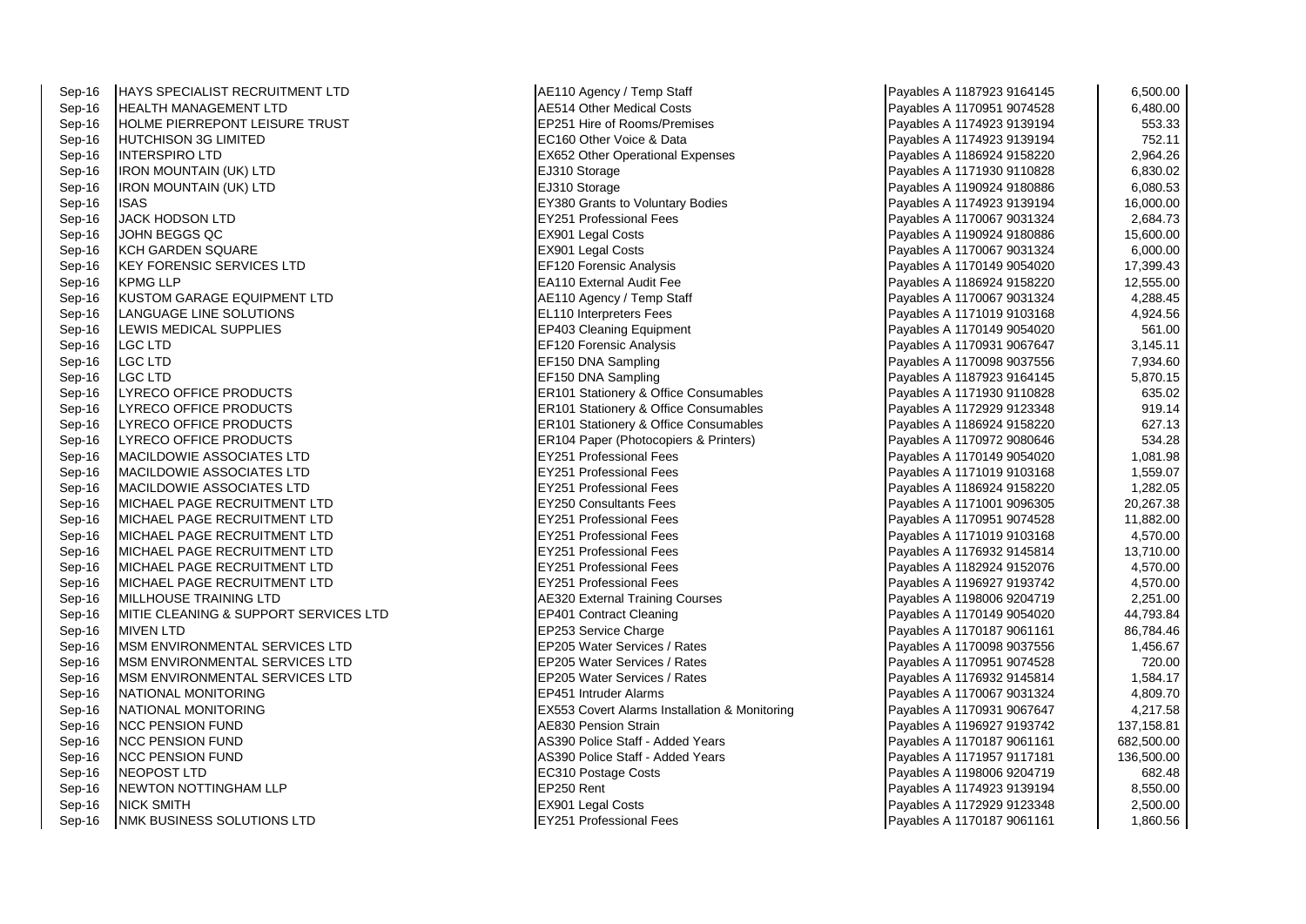| Sep-16 | HAYS SPECIALIST RECRUITMENT LTD        | AE110 Agency / Temp Staff                        | Payables A 1187923 9164145 | 6,500.00   |
|--------|----------------------------------------|--------------------------------------------------|----------------------------|------------|
| Sep-16 | <b>HEALTH MANAGEMENT LTD</b>           | <b>AE514 Other Medical Costs</b>                 | Payables A 1170951 9074528 | 6,480.00   |
| Sep-16 | <b>HOLME PIERREPONT LEISURE TRUST</b>  | EP251 Hire of Rooms/Premises                     | Payables A 1174923 9139194 | 553.33     |
| Sep-16 | HUTCHISON 3G LIMITED                   | EC160 Other Voice & Data                         | Payables A 1174923 9139194 | 752.11     |
| Sep-16 | <b>INTERSPIRO LTD</b>                  | <b>EX652 Other Operational Expenses</b>          | Payables A 1186924 9158220 | 2,964.26   |
| Sep-16 | <b>IRON MOUNTAIN (UK) LTD</b>          | EJ310 Storage                                    | Payables A 1171930 9110828 | 6,830.02   |
| Sep-16 | IRON MOUNTAIN (UK) LTD                 | EJ310 Storage                                    | Payables A 1190924 9180886 | 6,080.53   |
| Sep-16 | ISAS                                   | EY380 Grants to Voluntary Bodies                 | Payables A 1174923 9139194 | 16,000.00  |
| Sep-16 | <b>JACK HODSON LTD</b>                 | <b>EY251 Professional Fees</b>                   | Payables A 1170067 9031324 | 2,684.73   |
| Sep-16 | JOHN BEGGS QC                          | EX901 Legal Costs                                | Payables A 1190924 9180886 | 15,600.00  |
| Sep-16 | <b>KCH GARDEN SQUARE</b>               | EX901 Legal Costs                                | Payables A 1170067 9031324 | 6,000.00   |
| Sep-16 | <b>KEY FORENSIC SERVICES LTD</b>       | EF120 Forensic Analysis                          | Payables A 1170149 9054020 | 17,399.43  |
| Sep-16 | <b>KPMG LLP</b>                        | <b>EA110 External Audit Fee</b>                  | Payables A 1186924 9158220 | 12,555.00  |
| Sep-16 | <b>KUSTOM GARAGE EQUIPMENT LTD</b>     | AE110 Agency / Temp Staff                        | Payables A 1170067 9031324 | 4,288.45   |
| Sep-16 | LANGUAGE LINE SOLUTIONS                | <b>EL110 Interpreters Fees</b>                   | Payables A 1171019 9103168 | 4,924.56   |
| Sep-16 | LEWIS MEDICAL SUPPLIES                 | EP403 Cleaning Equipment                         | Payables A 1170149 9054020 | 561.00     |
| Sep-16 | LGC LTD                                | <b>EF120 Forensic Analysis</b>                   | Payables A 1170931 9067647 | 3,145.11   |
| Sep-16 | LGC LTD                                | EF150 DNA Sampling                               | Payables A 1170098 9037556 | 7,934.60   |
| Sep-16 | <b>LGC LTD</b>                         | EF150 DNA Sampling                               | Payables A 1187923 9164145 | 5,870.15   |
| Sep-16 | LYRECO OFFICE PRODUCTS                 | ER101 Stationery & Office Consumables            | Payables A 1171930 9110828 | 635.02     |
| Sep-16 | LYRECO OFFICE PRODUCTS                 | <b>ER101 Stationery &amp; Office Consumables</b> | Payables A 1172929 9123348 | 919.14     |
| Sep-16 | LYRECO OFFICE PRODUCTS                 | <b>ER101 Stationery &amp; Office Consumables</b> | Payables A 1186924 9158220 | 627.13     |
| Sep-16 | LYRECO OFFICE PRODUCTS                 | ER104 Paper (Photocopiers & Printers)            | Payables A 1170972 9080646 | 534.28     |
| Sep-16 | MACILDOWIE ASSOCIATES LTD              | <b>EY251 Professional Fees</b>                   | Payables A 1170149 9054020 | 1,081.98   |
| Sep-16 | <b>MACILDOWIE ASSOCIATES LTD</b>       | <b>EY251 Professional Fees</b>                   | Payables A 1171019 9103168 | 1,559.07   |
| Sep-16 | <b>MACILDOWIE ASSOCIATES LTD</b>       | <b>EY251 Professional Fees</b>                   | Payables A 1186924 9158220 | 1,282.05   |
| Sep-16 | MICHAEL PAGE RECRUITMENT LTD           | <b>EY250 Consultants Fees</b>                    | Payables A 1171001 9096305 | 20,267.38  |
| Sep-16 | MICHAEL PAGE RECRUITMENT LTD           | <b>EY251 Professional Fees</b>                   | Payables A 1170951 9074528 | 11,882.00  |
| Sep-16 | MICHAEL PAGE RECRUITMENT LTD           | <b>EY251 Professional Fees</b>                   | Payables A 1171019 9103168 | 4,570.00   |
| Sep-16 | <b>MICHAEL PAGE RECRUITMENT LTD</b>    | <b>EY251 Professional Fees</b>                   | Payables A 1176932 9145814 | 13,710.00  |
| Sep-16 | MICHAEL PAGE RECRUITMENT LTD           | <b>EY251 Professional Fees</b>                   | Payables A 1182924 9152076 | 4,570.00   |
| Sep-16 | MICHAEL PAGE RECRUITMENT LTD           | EY251 Professional Fees                          | Payables A 1196927 9193742 | 4,570.00   |
| Sep-16 | MILLHOUSE TRAINING LTD                 | <b>AE320 External Training Courses</b>           | Payables A 1198006 9204719 | 2,251.00   |
| Sep-16 | MITIE CLEANING & SUPPORT SERVICES LTD  | EP401 Contract Cleaning                          | Payables A 1170149 9054020 | 44,793.84  |
| Sep-16 | <b>MIVEN LTD</b>                       | EP253 Service Charge                             | Payables A 1170187 9061161 | 86,784.46  |
| Sep-16 | <b>IMSM ENVIRONMENTAL SERVICES LTD</b> | EP205 Water Services / Rates                     | Payables A 1170098 9037556 | 1,456.67   |
| Sep-16 | MSM ENVIRONMENTAL SERVICES LTD         | EP205 Water Services / Rates                     | Payables A 1170951 9074528 | 720.00     |
| Sep-16 | <b>IMSM ENVIRONMENTAL SERVICES LTD</b> | EP205 Water Services / Rates                     | Payables A 1176932 9145814 | 1,584.17   |
| Sep-16 | NATIONAL MONITORING                    | EP451 Intruder Alarms                            | Payables A 1170067 9031324 | 4,809.70   |
| Sep-16 | NATIONAL MONITORING                    | EX553 Covert Alarms Installation & Monitoring    | Payables A 1170931 9067647 | 4,217.58   |
| Sep-16 | <b>INCC PENSION FUND</b>               | <b>AE830 Pension Strain</b>                      | Payables A 1196927 9193742 | 137,158.81 |
| Sep-16 | <b>NCC PENSION FUND</b>                | AS390 Police Staff - Added Years                 | Payables A 1170187 9061161 | 682,500.00 |
| Sep-16 | <b>NCC PENSION FUND</b>                | AS390 Police Staff - Added Years                 | Payables A 1171957 9117181 | 136,500.00 |
| Sep-16 | <b>NEOPOST LTD</b>                     | EC310 Postage Costs                              | Payables A 1198006 9204719 | 682.48     |
| Sep-16 | NEWTON NOTTINGHAM LLP                  | EP250 Rent                                       | Payables A 1174923 9139194 | 8,550.00   |
| Sep-16 | <b>NICK SMITH</b>                      | EX901 Legal Costs                                | Payables A 1172929 9123348 | 2,500.00   |
| Sep-16 | <b>INMK BUSINESS SOLUTIONS LTD</b>     | EY251 Professional Fees                          | Payables A 1170187 9061161 | 1,860.56   |

| Payables A 1187923 9164145 | 6,500.00   |
|----------------------------|------------|
| Payables A 1170951 9074528 | 6,480.00   |
| Payables A 1174923 9139194 | 553.33     |
| Payables A 1174923 9139194 | 752.11     |
| Payables A 1186924 9158220 | 2,964.26   |
| Payables A 1171930 9110828 | 6,830.02   |
| Payables A 1190924 9180886 | 6,080.53   |
| Payables A 1174923 9139194 | 16,000.00  |
| Payables A 1170067 9031324 | 2,684.73   |
| Payables A 1190924 9180886 | 15,600.00  |
| Payables A 1170067 9031324 | 6,000.00   |
| Payables A 1170149 9054020 | 17,399.43  |
| Payables A 1186924 9158220 | 12,555.00  |
| Payables A 1170067 9031324 | 4,288.45   |
| Payables A 1171019 9103168 | 4,924.56   |
| Payables A 1170149 9054020 | 561.00     |
| Payables A 1170931 9067647 | 3,145.11   |
| Payables A 1170098 9037556 | 7,934.60   |
| Payables A 1187923 9164145 | 5,870.15   |
| Payables A 1171930 9110828 | 635.02     |
| Payables A 1172929 9123348 | 919.14     |
| Payables A 1186924 9158220 | 627.13     |
| Payables A 1170972 9080646 | 534.28     |
| Payables A 1170149 9054020 | 1,081.98   |
| Payables A 1171019 9103168 | 1,559.07   |
| Payables A 1186924 9158220 | 1,282.05   |
| Payables A 1171001 9096305 | 20,267.38  |
| Payables A 1170951 9074528 | 11,882.00  |
| Payables A 1171019 9103168 | 4,570.00   |
| Payables A 1176932 9145814 | 13,710.00  |
| Payables A 1182924 9152076 | 4,570.00   |
| Payables A 1196927 9193742 | 4,570.00   |
| Payables A 1198006 9204719 | 2,251.00   |
| Payables A 1170149 9054020 | 44,793.84  |
| Payables A 1170187 9061161 | 86,784.46  |
| Payables A 1170098 9037556 | 1,456.67   |
| Payables A 1170951 9074528 | 720.00     |
| Payables A 1176932 9145814 | 1,584.17   |
| Payables A 1170067 9031324 | 4,809.70   |
| Payables A 1170931 9067647 | 4,217.58   |
| Payables A 1196927 9193742 | 137,158.81 |
| Payables A 1170187 9061161 | 682,500.00 |
| Payables A 1171957 9117181 | 136,500.00 |
| Payables A 1198006 9204719 | 682.48     |
| Payables A 1174923 9139194 | 8,550.00   |
| Payables A 1172929 9123348 | 2,500.00   |
| Payables A 1170187 9061161 | 1,860.56   |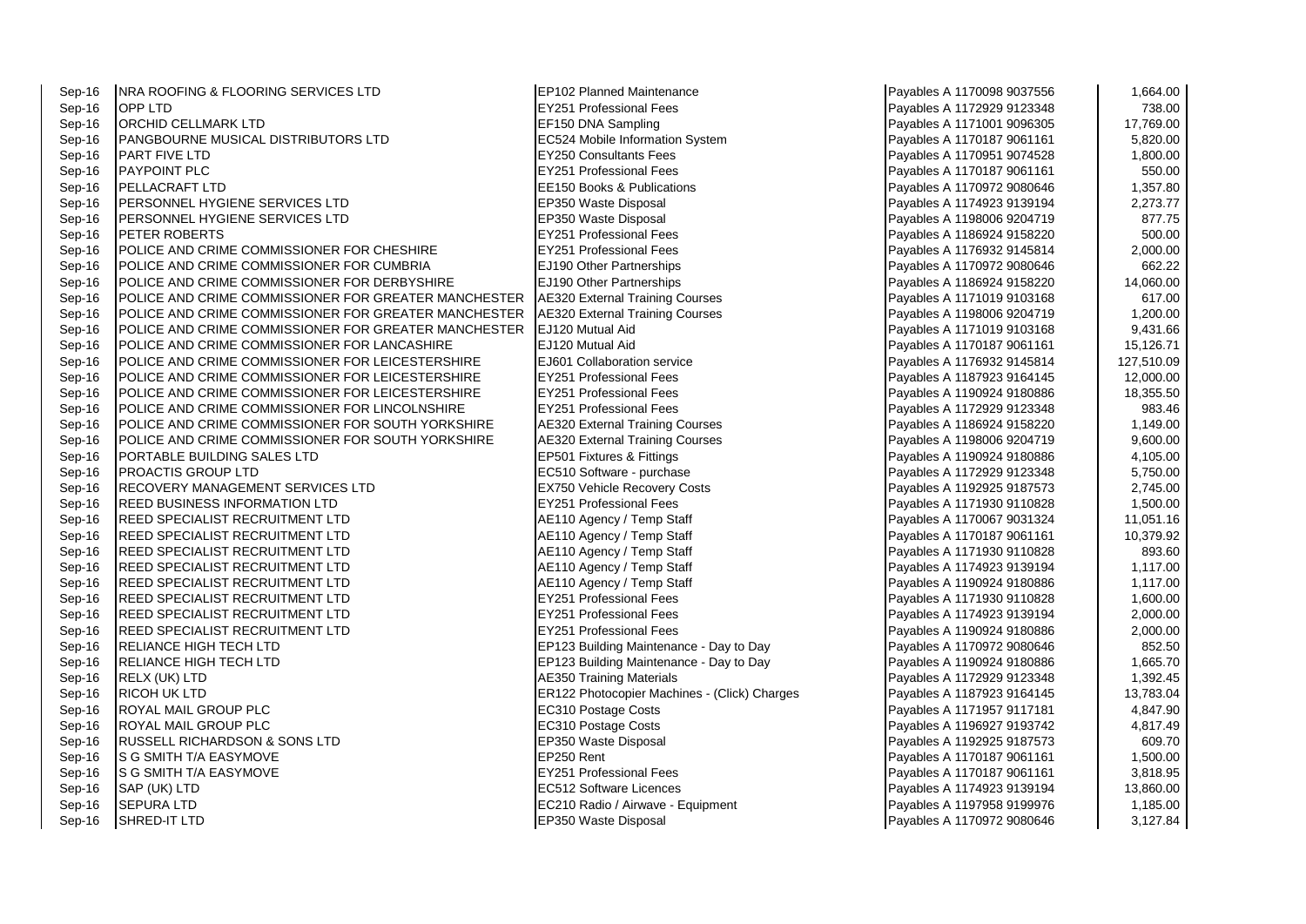| Sep-16 | <b>INRA ROOFING &amp; FLOORING SERVICES LTD</b>      | <b>EP102 Planned Maintenance</b>             | Payables A 1170098 9037556 | 1,664.00   |
|--------|------------------------------------------------------|----------------------------------------------|----------------------------|------------|
| Sep-16 | <b>OPP LTD</b>                                       | <b>EY251 Professional Fees</b>               | Payables A 1172929 9123348 | 738.00     |
| Sep-16 | <b>ORCHID CELLMARK LTD</b>                           | EF150 DNA Sampling                           | Payables A 1171001 9096305 | 17,769.00  |
| Sep-16 | PANGBOURNE MUSICAL DISTRIBUTORS LTD                  | EC524 Mobile Information System              | Payables A 1170187 9061161 | 5,820.00   |
| Sep-16 | <b>PART FIVE LTD</b>                                 | <b>EY250 Consultants Fees</b>                | Payables A 1170951 9074528 | 1,800.00   |
| Sep-16 | <b>PAYPOINT PLC</b>                                  | <b>EY251 Professional Fees</b>               | Payables A 1170187 9061161 | 550.00     |
| Sep-16 | PELLACRAFT LTD                                       | EE150 Books & Publications                   | Payables A 1170972 9080646 | 1,357.80   |
| Sep-16 | PERSONNEL HYGIENE SERVICES LTD                       | EP350 Waste Disposal                         | Payables A 1174923 9139194 | 2,273.77   |
| Sep-16 | PERSONNEL HYGIENE SERVICES LTD                       | EP350 Waste Disposal                         | Payables A 1198006 9204719 | 877.75     |
| Sep-16 | <b>PETER ROBERTS</b>                                 | <b>EY251 Professional Fees</b>               | Payables A 1186924 9158220 | 500.00     |
| Sep-16 | POLICE AND CRIME COMMISSIONER FOR CHESHIRE           | <b>EY251 Professional Fees</b>               | Payables A 1176932 9145814 | 2,000.00   |
| Sep-16 | POLICE AND CRIME COMMISSIONER FOR CUMBRIA            | EJ190 Other Partnerships                     | Payables A 1170972 9080646 | 662.22     |
| Sep-16 | POLICE AND CRIME COMMISSIONER FOR DERBYSHIRE         | EJ190 Other Partnerships                     | Payables A 1186924 9158220 | 14,060.00  |
| Sep-16 | POLICE AND CRIME COMMISSIONER FOR GREATER MANCHESTER | AE320 External Training Courses              | Payables A 1171019 9103168 | 617.00     |
| Sep-16 | POLICE AND CRIME COMMISSIONER FOR GREATER MANCHESTER | AE320 External Training Courses              | Payables A 1198006 9204719 | 1,200.00   |
| Sep-16 | POLICE AND CRIME COMMISSIONER FOR GREATER MANCHESTER | EJ120 Mutual Aid                             | Payables A 1171019 9103168 | 9,431.66   |
| Sep-16 | POLICE AND CRIME COMMISSIONER FOR LANCASHIRE         | EJ120 Mutual Aid                             | Payables A 1170187 9061161 | 15,126.71  |
| Sep-16 | POLICE AND CRIME COMMISSIONER FOR LEICESTERSHIRE     | EJ601 Collaboration service                  | Payables A 1176932 9145814 | 127,510.09 |
| Sep-16 | POLICE AND CRIME COMMISSIONER FOR LEICESTERSHIRE     | <b>EY251 Professional Fees</b>               | Payables A 1187923 9164145 | 12,000.00  |
| Sep-16 | POLICE AND CRIME COMMISSIONER FOR LEICESTERSHIRE     | <b>EY251 Professional Fees</b>               | Payables A 1190924 9180886 | 18,355.50  |
| Sep-16 | POLICE AND CRIME COMMISSIONER FOR LINCOLNSHIRE       | <b>EY251 Professional Fees</b>               | Payables A 1172929 9123348 | 983.46     |
| Sep-16 | POLICE AND CRIME COMMISSIONER FOR SOUTH YORKSHIRE    | <b>AE320 External Training Courses</b>       | Payables A 1186924 9158220 | 1,149.00   |
| Sep-16 | POLICE AND CRIME COMMISSIONER FOR SOUTH YORKSHIRE    | <b>AE320 External Training Courses</b>       | Payables A 1198006 9204719 | 9,600.00   |
| Sep-16 | PORTABLE BUILDING SALES LTD                          | EP501 Fixtures & Fittings                    | Payables A 1190924 9180886 | 4,105.00   |
| Sep-16 | <b>PROACTIS GROUP LTD</b>                            | EC510 Software - purchase                    | Payables A 1172929 9123348 | 5,750.00   |
| Sep-16 | <b>RECOVERY MANAGEMENT SERVICES LTD</b>              | <b>EX750 Vehicle Recovery Costs</b>          | Payables A 1192925 9187573 | 2,745.00   |
| Sep-16 | <b>REED BUSINESS INFORMATION LTD</b>                 | <b>EY251 Professional Fees</b>               | Payables A 1171930 9110828 | 1,500.00   |
| Sep-16 | <b>REED SPECIALIST RECRUITMENT LTD</b>               | AE110 Agency / Temp Staff                    | Payables A 1170067 9031324 | 11,051.16  |
| Sep-16 | <b>REED SPECIALIST RECRUITMENT LTD</b>               | AE110 Agency / Temp Staff                    | Payables A 1170187 9061161 | 10,379.92  |
| Sep-16 | <b>REED SPECIALIST RECRUITMENT LTD</b>               | AE110 Agency / Temp Staff                    | Payables A 1171930 9110828 | 893.60     |
| Sep-16 | REED SPECIALIST RECRUITMENT LTD                      | AE110 Agency / Temp Staff                    | Payables A 1174923 9139194 | 1,117.00   |
| Sep-16 | <b>REED SPECIALIST RECRUITMENT LTD</b>               | AE110 Agency / Temp Staff                    | Payables A 1190924 9180886 | 1,117.00   |
| Sep-16 | <b>REED SPECIALIST RECRUITMENT LTD</b>               | <b>EY251 Professional Fees</b>               | Payables A 1171930 9110828 | 1,600.00   |
| Sep-16 | <b>REED SPECIALIST RECRUITMENT LTD</b>               | <b>EY251 Professional Fees</b>               | Payables A 1174923 9139194 | 2,000.00   |
| Sep-16 | <b>REED SPECIALIST RECRUITMENT LTD</b>               | EY251 Professional Fees                      | Payables A 1190924 9180886 | 2,000.00   |
| Sep-16 | <b>RELIANCE HIGH TECH LTD</b>                        | EP123 Building Maintenance - Day to Day      | Payables A 1170972 9080646 | 852.50     |
| Sep-16 | <b>RELIANCE HIGH TECH LTD</b>                        | EP123 Building Maintenance - Day to Day      | Payables A 1190924 9180886 | 1,665.70   |
| Sep-16 | RELX (UK) LTD                                        | <b>AE350 Training Materials</b>              | Payables A 1172929 9123348 | 1,392.45   |
| Sep-16 | <b>RICOH UK LTD</b>                                  | ER122 Photocopier Machines - (Click) Charges | Payables A 1187923 9164145 | 13,783.04  |
| Sep-16 | <b>ROYAL MAIL GROUP PLC</b>                          | EC310 Postage Costs                          | Payables A 1171957 9117181 | 4,847.90   |
| Sep-16 | <b>ROYAL MAIL GROUP PLC</b>                          | EC310 Postage Costs                          | Payables A 1196927 9193742 | 4,817.49   |
| Sep-16 | <b>RUSSELL RICHARDSON &amp; SONS LTD</b>             | EP350 Waste Disposal                         | Payables A 1192925 9187573 | 609.70     |
| Sep-16 | S G SMITH T/A EASYMOVE                               | EP250 Rent                                   | Payables A 1170187 9061161 | 1,500.00   |
| Sep-16 | IS G SMITH T/A EASYMOVE                              | <b>EY251 Professional Fees</b>               | Payables A 1170187 9061161 | 3,818.95   |
| Sep-16 | SAP (UK) LTD                                         | EC512 Software Licences                      | Payables A 1174923 9139194 | 13,860.00  |
| Sep-16 | <b>SEPURA LTD</b>                                    | EC210 Radio / Airwave - Equipment            | Payables A 1197958 9199976 | 1,185.00   |
| Sep-16 | <b>SHRED-IT LTD</b>                                  | EP350 Waste Disposal                         | Payables A 1170972 9080646 | 3,127.84   |

| Payables A 1170098 9037556                               | 1,664.00             |
|----------------------------------------------------------|----------------------|
| Payables A 1172929 9123348                               | 738.00               |
| Payables A 1171001 9096305                               | 17,769.00            |
| Payables A 1170187 9061161                               | 5,820.00             |
| Payables A 1170951 9074528                               | 1,800.00             |
| Payables A 1170187 9061161                               | 550.00               |
| Payables A 1170972 9080646                               | 1,357.80             |
| Payables A 1174923 9139194                               | 2,273.77             |
| Payables A 1198006 9204719                               | 877.75               |
| Payables A 1186924 9158220                               | 500.00               |
| Payables A 1176932 9145814                               | 2,000.00             |
| Payables A 1170972 9080646                               | 662.22               |
| Payables A 1186924 9158220                               | 14,060.00            |
| Payables A 1171019 9103168                               | 617.00               |
| Payables A 1198006 9204719                               | 1,200.00             |
| Payables A 1171019 9103168                               | 9,431.66             |
| Payables A 1170187 9061161                               | 15,126.71            |
| Payables A 1176932 9145814                               | 127,510.09           |
| Payables A 1187923 9164145                               | 12,000.00            |
| Payables A 1190924 9180886                               | 18,355.50            |
| Payables A 1172929 9123348                               | 983.46               |
| Payables A 1186924 9158220                               | 1,149.00             |
| Payables A 1198006 9204719                               | 9,600.00             |
| Payables A 1190924 9180886                               | 4,105.00             |
| Payables A 1172929 9123348                               | 5,750.00             |
| Payables A 1192925 9187573                               | 2,745.00             |
| Payables A 1171930 9110828                               | 1,500.00             |
| Payables A 1170067 9031324                               | 11,051.16            |
| Payables A 1170187 9061161                               | 10,379.92            |
| Payables A 1171930 9110828                               | 893.60               |
| Payables A 1174923 9139194<br>Payables A 1190924 9180886 | 1,117.00<br>1,117.00 |
| Payables A 1171930 9110828                               | 1,600.00             |
| Payables A 1174923 9139194                               | 2,000.00             |
| Payables A 1190924 9180886                               | 2,000.00             |
| Payables A 1170972 9080646                               | 852.50               |
| Payables A 1190924 9180886                               | 1,665.70             |
| Payables A 1172929 9123348                               | 1,392.45             |
| Payables A 1187923 9164145                               | 13,783.04            |
| Payables A 1171957 9117181                               | 4,847.90             |
| Payables A 1196927 9193742                               | 4,817.49             |
| Payables A 1192925 9187573                               | 609.70               |
| Payables A 1170187 9061161                               | 1,500.00             |
| Payables A 1170187 9061161                               | 3,818.95             |
| Payables A 1174923 9139194                               | 13,860.00            |
| Payables A 1197958 9199976                               | 1,185.00             |
| Pavables A 1170972 9080646                               | 3.127.84             |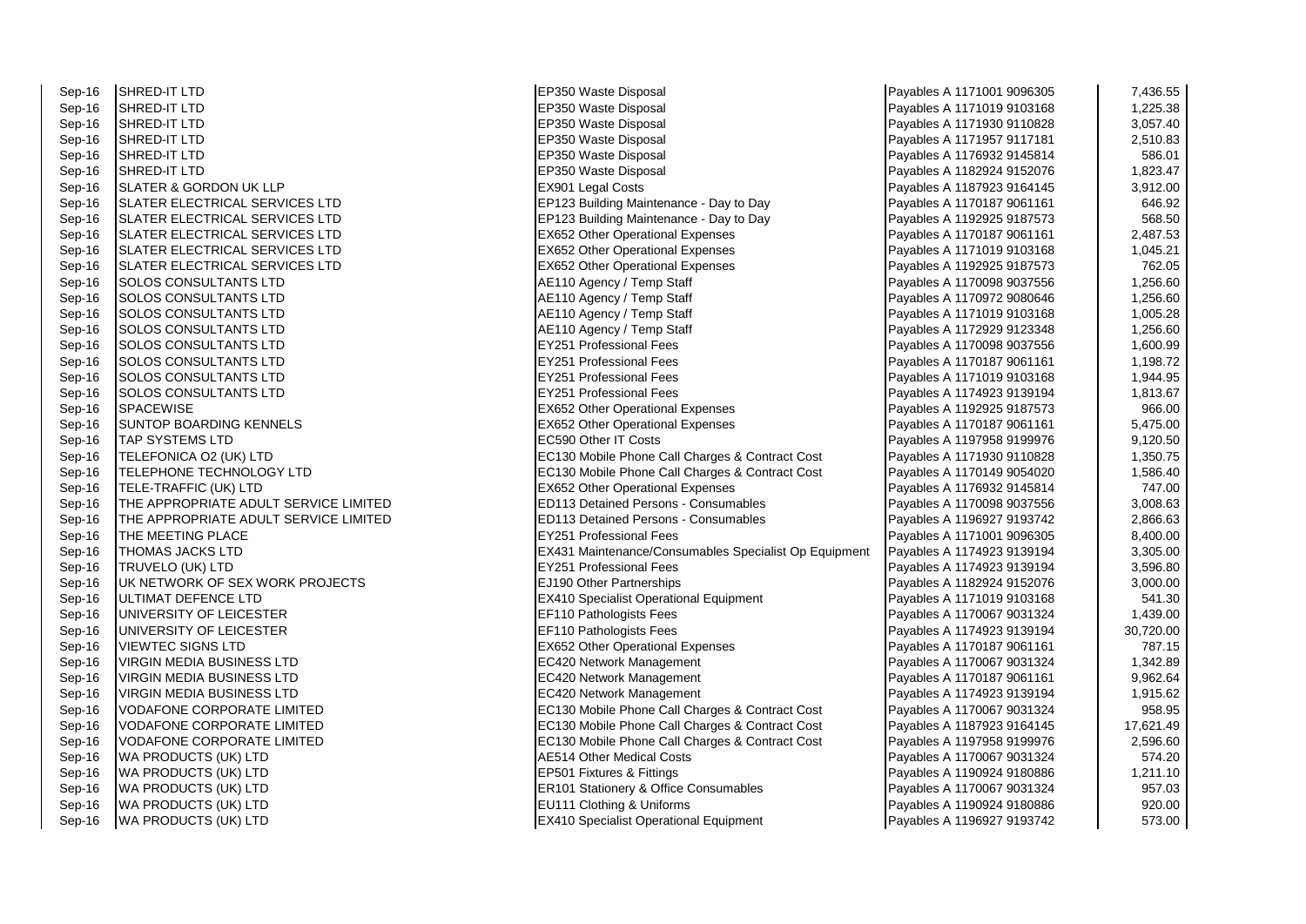| Sep-16 | SHRED-IT LTD                          | EP350 Waste Disposal                                  | Payables A 1171001 9096305 | 7,436.55  |
|--------|---------------------------------------|-------------------------------------------------------|----------------------------|-----------|
| Sep-16 | SHRED-IT LTD                          | EP350 Waste Disposal                                  | Payables A 1171019 9103168 | 1,225.38  |
| Sep-16 | SHRED-IT LTD                          | EP350 Waste Disposal                                  | Payables A 1171930 9110828 | 3,057.40  |
| Sep-16 | SHRED-IT LTD                          | EP350 Waste Disposal                                  | Payables A 1171957 9117181 | 2,510.83  |
| Sep-16 | SHRED-IT LTD                          | EP350 Waste Disposal                                  | Payables A 1176932 9145814 | 586.01    |
| Sep-16 | SHRED-IT LTD                          | EP350 Waste Disposal                                  | Payables A 1182924 9152076 | 1,823.47  |
| Sep-16 | SLATER & GORDON UK LLP                | EX901 Legal Costs                                     | Payables A 1187923 9164145 | 3,912.00  |
| Sep-16 | SLATER ELECTRICAL SERVICES LTD        | EP123 Building Maintenance - Day to Day               | Payables A 1170187 9061161 | 646.92    |
| Sep-16 | SLATER ELECTRICAL SERVICES LTD        | EP123 Building Maintenance - Day to Day               | Payables A 1192925 9187573 | 568.50    |
| Sep-16 | SLATER ELECTRICAL SERVICES LTD        | <b>EX652 Other Operational Expenses</b>               | Payables A 1170187 9061161 | 2,487.53  |
| Sep-16 | SLATER ELECTRICAL SERVICES LTD        | <b>EX652 Other Operational Expenses</b>               | Payables A 1171019 9103168 | 1,045.21  |
| Sep-16 | SLATER ELECTRICAL SERVICES LTD        | <b>EX652 Other Operational Expenses</b>               | Payables A 1192925 9187573 | 762.05    |
| Sep-16 | SOLOS CONSULTANTS LTD                 | AE110 Agency / Temp Staff                             | Payables A 1170098 9037556 | 1,256.60  |
| Sep-16 | SOLOS CONSULTANTS LTD                 | AE110 Agency / Temp Staff                             | Payables A 1170972 9080646 | 1,256.60  |
| Sep-16 | SOLOS CONSULTANTS LTD                 | AE110 Agency / Temp Staff                             | Payables A 1171019 9103168 | 1,005.28  |
| Sep-16 | <b>SOLOS CONSULTANTS LTD</b>          | AE110 Agency / Temp Staff                             | Payables A 1172929 9123348 | 1,256.60  |
| Sep-16 | SOLOS CONSULTANTS LTD                 | <b>EY251 Professional Fees</b>                        | Payables A 1170098 9037556 | 1,600.99  |
| Sep-16 | SOLOS CONSULTANTS LTD                 | EY251 Professional Fees                               | Payables A 1170187 9061161 | 1,198.72  |
| Sep-16 | SOLOS CONSULTANTS LTD                 | <b>EY251 Professional Fees</b>                        | Payables A 1171019 9103168 | 1,944.95  |
| Sep-16 | SOLOS CONSULTANTS LTD                 | <b>EY251 Professional Fees</b>                        | Payables A 1174923 9139194 | 1,813.67  |
| Sep-16 | SPACEWISE                             | <b>EX652 Other Operational Expenses</b>               | Payables A 1192925 9187573 | 966.00    |
| Sep-16 | SUNTOP BOARDING KENNELS               | <b>EX652 Other Operational Expenses</b>               | Payables A 1170187 9061161 | 5,475.00  |
| Sep-16 | TAP SYSTEMS LTD                       | EC590 Other IT Costs                                  | Payables A 1197958 9199976 | 9,120.50  |
| Sep-16 | TELEFONICA O2 (UK) LTD                | EC130 Mobile Phone Call Charges & Contract Cost       | Payables A 1171930 9110828 | 1,350.75  |
| Sep-16 | TELEPHONE TECHNOLOGY LTD              | EC130 Mobile Phone Call Charges & Contract Cost       | Payables A 1170149 9054020 | 1,586.40  |
| Sep-16 | TELE-TRAFFIC (UK) LTD                 | <b>EX652 Other Operational Expenses</b>               | Payables A 1176932 9145814 | 747.00    |
| Sep-16 | THE APPROPRIATE ADULT SERVICE LIMITED | <b>ED113 Detained Persons - Consumables</b>           | Payables A 1170098 9037556 | 3,008.63  |
| Sep-16 | THE APPROPRIATE ADULT SERVICE LIMITED | ED113 Detained Persons - Consumables                  | Payables A 1196927 9193742 | 2,866.63  |
| Sep-16 | THE MEETING PLACE                     | <b>EY251 Professional Fees</b>                        | Payables A 1171001 9096305 | 8,400.00  |
| Sep-16 | THOMAS JACKS LTD                      | EX431 Maintenance/Consumables Specialist Op Equipment | Payables A 1174923 9139194 | 3,305.00  |
| Sep-16 | TRUVELO (UK) LTD                      | <b>EY251 Professional Fees</b>                        | Payables A 1174923 9139194 | 3,596.80  |
| Sep-16 | UK NETWORK OF SEX WORK PROJECTS       | EJ190 Other Partnerships                              | Payables A 1182924 9152076 | 3,000.00  |
| Sep-16 | ULTIMAT DEFENCE LTD                   | <b>EX410 Specialist Operational Equipment</b>         | Payables A 1171019 9103168 | 541.30    |
| Sep-16 | UNIVERSITY OF LEICESTER               | EF110 Pathologists Fees                               | Payables A 1170067 9031324 | 1,439.00  |
| Sep-16 | UNIVERSITY OF LEICESTER               | EF110 Pathologists Fees                               | Payables A 1174923 9139194 | 30,720.00 |
| Sep-16 | VIEWTEC SIGNS LTD                     | <b>EX652 Other Operational Expenses</b>               | Payables A 1170187 9061161 | 787.15    |
| Sep-16 | VIRGIN MEDIA BUSINESS LTD             | EC420 Network Management                              | Payables A 1170067 9031324 | 1,342.89  |
| Sep-16 | VIRGIN MEDIA BUSINESS LTD             | EC420 Network Management                              | Payables A 1170187 9061161 | 9,962.64  |
| Sep-16 | VIRGIN MEDIA BUSINESS LTD             | EC420 Network Management                              | Payables A 1174923 9139194 | 1,915.62  |
| Sep-16 | VODAFONE CORPORATE LIMITED            | EC130 Mobile Phone Call Charges & Contract Cost       | Payables A 1170067 9031324 | 958.95    |
| Sep-16 | VODAFONE CORPORATE LIMITED            | EC130 Mobile Phone Call Charges & Contract Cost       | Payables A 1187923 9164145 | 17,621.49 |
| Sep-16 | VODAFONE CORPORATE LIMITED            | EC130 Mobile Phone Call Charges & Contract Cost       | Payables A 1197958 9199976 | 2,596.60  |
| Sep-16 | WA PRODUCTS (UK) LTD                  | <b>AE514 Other Medical Costs</b>                      | Payables A 1170067 9031324 | 574.20    |
| Sep-16 | WA PRODUCTS (UK) LTD                  | EP501 Fixtures & Fittings                             | Payables A 1190924 9180886 | 1,211.10  |
| Sep-16 | WA PRODUCTS (UK) LTD                  | <b>ER101 Stationery &amp; Office Consumables</b>      | Payables A 1170067 9031324 | 957.03    |
| Sep-16 | WA PRODUCTS (UK) LTD                  | EU111 Clothing & Uniforms                             | Payables A 1190924 9180886 | 920.00    |
| Sep-16 | WA PRODUCTS (UK) LTD                  | <b>EX410 Specialist Operational Equipment</b>         | Payables A 1196927 9193742 | 573.00    |